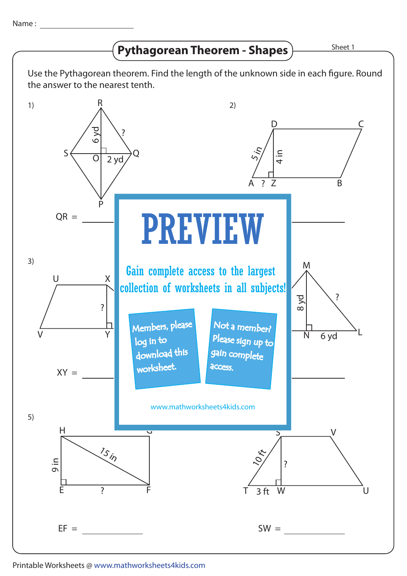Name : The second second second second second second second second second second second second second second second second second second second second second second second second second second second second second second s

# $\left(\text{Pythagorean Theorem - Shapes}\right)$  **Shapes** Sheet 1



## Printable Worksheets @ www.mathworksheets4kids.com